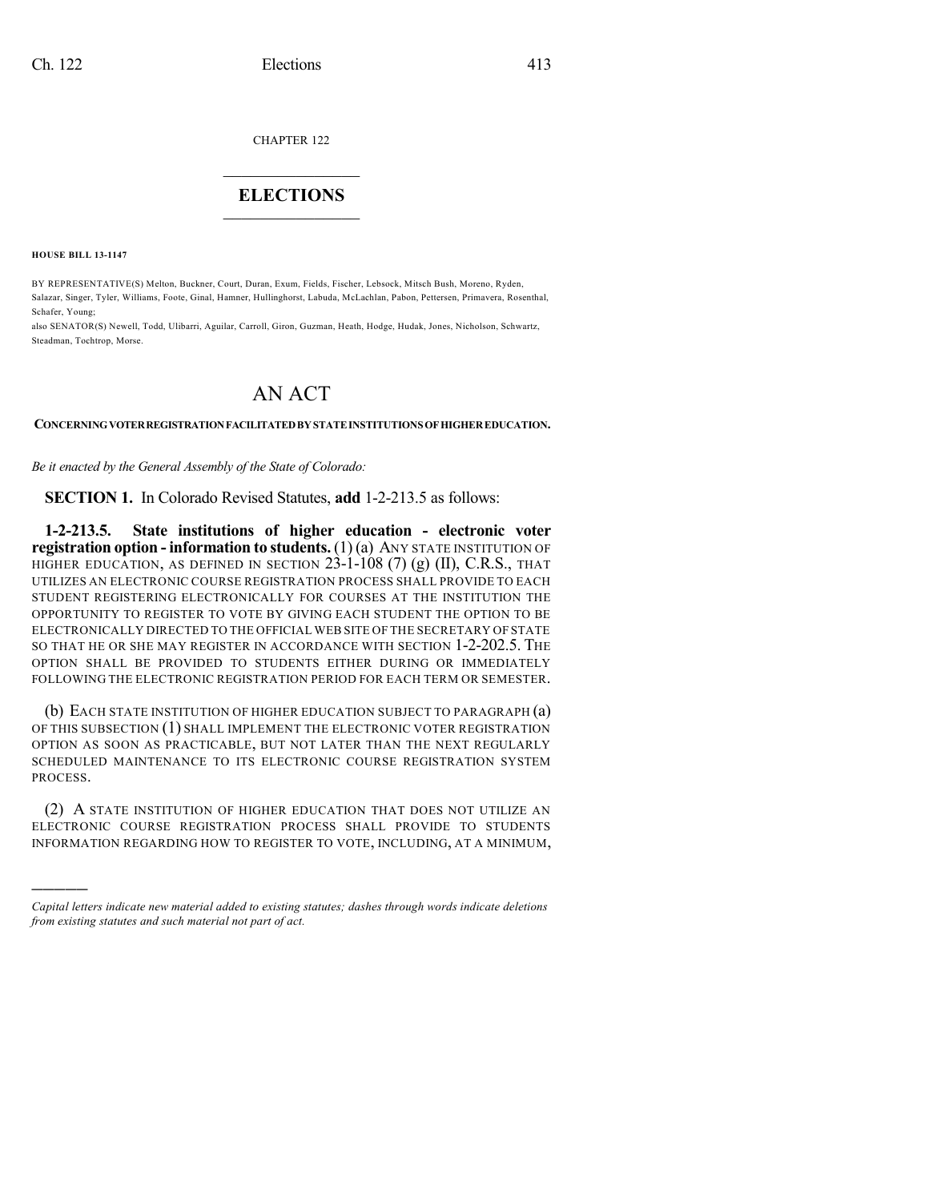CHAPTER 122

## $\mathcal{L}_\text{max}$  . The set of the set of the set of the set of the set of the set of the set of the set of the set of the set of the set of the set of the set of the set of the set of the set of the set of the set of the set **ELECTIONS**  $\_$

**HOUSE BILL 13-1147**

)))))

BY REPRESENTATIVE(S) Melton, Buckner, Court, Duran, Exum, Fields, Fischer, Lebsock, Mitsch Bush, Moreno, Ryden, Salazar, Singer, Tyler, Williams, Foote, Ginal, Hamner, Hullinghorst, Labuda, McLachlan, Pabon, Pettersen, Primavera, Rosenthal, Schafer, Young;

also SENATOR(S) Newell, Todd, Ulibarri, Aguilar, Carroll, Giron, Guzman, Heath, Hodge, Hudak, Jones, Nicholson, Schwartz, Steadman, Tochtrop, Morse.

## AN ACT

**CONCERNINGVOTERREGISTRATIONFACILITATEDBY STATEINSTITUTIONS OF HIGHEREDUCATION.**

*Be it enacted by the General Assembly of the State of Colorado:*

**SECTION 1.** In Colorado Revised Statutes, **add** 1-2-213.5 as follows:

**1-2-213.5. State institutions of higher education - electronic voter registration option - information to students.** (1)(a) ANY STATE INSTITUTION OF HIGHER EDUCATION, AS DEFINED IN SECTION  $23$ -1-108 (7) (g) (II), C.R.S., THAT UTILIZES AN ELECTRONIC COURSE REGISTRATION PROCESS SHALL PROVIDE TO EACH STUDENT REGISTERING ELECTRONICALLY FOR COURSES AT THE INSTITUTION THE OPPORTUNITY TO REGISTER TO VOTE BY GIVING EACH STUDENT THE OPTION TO BE ELECTRONICALLY DIRECTED TO THE OFFICIAL WEB SITE OF THE SECRETARY OF STATE SO THAT HE OR SHE MAY REGISTER IN ACCORDANCE WITH SECTION 1-2-202.5. THE OPTION SHALL BE PROVIDED TO STUDENTS EITHER DURING OR IMMEDIATELY FOLLOWING THE ELECTRONIC REGISTRATION PERIOD FOR EACH TERM OR SEMESTER.

(b) EACH STATE INSTITUTION OF HIGHER EDUCATION SUBJECT TO PARAGRAPH (a) OF THIS SUBSECTION (1) SHALL IMPLEMENT THE ELECTRONIC VOTER REGISTRATION OPTION AS SOON AS PRACTICABLE, BUT NOT LATER THAN THE NEXT REGULARLY SCHEDULED MAINTENANCE TO ITS ELECTRONIC COURSE REGISTRATION SYSTEM PROCESS.

(2) A STATE INSTITUTION OF HIGHER EDUCATION THAT DOES NOT UTILIZE AN ELECTRONIC COURSE REGISTRATION PROCESS SHALL PROVIDE TO STUDENTS INFORMATION REGARDING HOW TO REGISTER TO VOTE, INCLUDING, AT A MINIMUM,

*Capital letters indicate new material added to existing statutes; dashes through words indicate deletions from existing statutes and such material not part of act.*